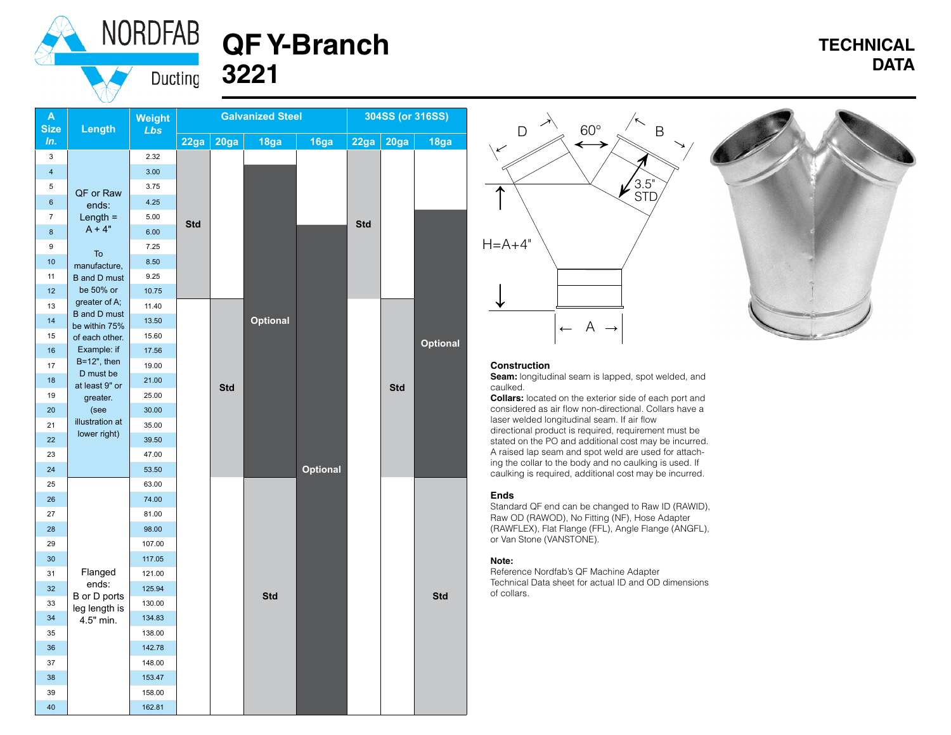



# **TECHNICAL DATA**

| A<br><b>Size</b>         | Length                                              | <b>Weight</b><br>Lbs | <b>Galvanized Steel</b> |            |                 | 304SS (or 316SS) |            |            |            |
|--------------------------|-----------------------------------------------------|----------------------|-------------------------|------------|-----------------|------------------|------------|------------|------------|
| In.                      |                                                     |                      | 22ga                    | 20ga       | 18ga            | 16ga             | 22ga       | 20ga       | 18ga       |
| 3                        |                                                     | 2.32                 |                         |            |                 |                  |            |            |            |
| $\overline{\mathbf{4}}$  |                                                     | 3.00                 |                         |            |                 |                  |            |            |            |
| 5                        | QF or Raw                                           | 3.75                 |                         |            |                 |                  |            |            |            |
| $\boldsymbol{6}$         | ends:                                               | 4.25                 |                         |            |                 |                  |            |            |            |
| $\overline{\mathcal{I}}$ | Length $=$                                          | 5.00                 | <b>Std</b>              |            |                 |                  | <b>Std</b> |            |            |
| 8                        | $A + 4"$                                            | 6.00                 |                         |            |                 |                  |            |            |            |
| 9                        | To                                                  | 7.25                 |                         |            |                 |                  |            |            |            |
| 10                       | manufacture,                                        | 8.50                 |                         |            |                 |                  |            |            |            |
| 11                       | <b>B</b> and <b>D</b> must                          | 9.25                 |                         |            |                 |                  |            |            |            |
| 12                       | be 50% or                                           | 10.75                |                         |            |                 |                  |            |            |            |
| 13                       | greater of A;<br><b>B</b> and D must                | 11.40                |                         |            |                 |                  |            |            |            |
| 14                       | be within 75%                                       | 13.50                |                         |            | <b>Optional</b> |                  |            |            |            |
| 15                       | of each other.                                      | 15.60                |                         |            |                 |                  |            |            | Optional   |
| 16                       | Example: if                                         | 17.56                |                         |            |                 |                  |            |            |            |
| 17                       | $B=12$ ", then<br>D must be                         | 19.00                |                         |            |                 |                  |            |            |            |
| 18                       | at least 9" or                                      | 21.00                |                         | <b>Std</b> |                 |                  |            | <b>Std</b> |            |
| 19                       | greater.                                            | 25.00                |                         |            |                 |                  |            |            |            |
| 20                       | (see                                                | 30.00                |                         |            |                 |                  |            |            |            |
| 21                       | illustration at<br>lower right)                     | 35.00                |                         |            |                 |                  |            |            |            |
| 22                       |                                                     | 39.50                |                         |            |                 |                  |            |            |            |
| 23                       |                                                     | 47.00                |                         |            |                 |                  |            |            |            |
| 24                       |                                                     | 53.50                |                         |            |                 | <b>Optional</b>  |            |            |            |
| 25                       |                                                     | 63.00                |                         |            |                 |                  |            |            |            |
| 26                       |                                                     | 74.00                |                         |            |                 |                  |            |            |            |
| 27                       |                                                     | 81.00                |                         |            |                 |                  |            |            |            |
| 28                       |                                                     | 98.00                |                         |            |                 |                  |            |            |            |
| 29                       |                                                     | 107.00               |                         |            |                 |                  |            |            |            |
| 30                       |                                                     | 117.05               |                         |            |                 |                  |            |            |            |
| 31                       | Flanged                                             | 121.00               |                         |            | <b>Std</b>      |                  |            |            | <b>Std</b> |
| 32                       | ends:<br>B or D ports<br>leg length is<br>4.5" min. | 125.94               |                         |            |                 |                  |            |            |            |
| 33                       |                                                     | 130.00               |                         |            |                 |                  |            |            |            |
| 34                       |                                                     | 134.83               |                         |            |                 |                  |            |            |            |
| 35                       |                                                     | 138.00               |                         |            |                 |                  |            |            |            |
| 36                       |                                                     | 142.78               |                         |            |                 |                  |            |            |            |
| 37                       |                                                     | 148.00               |                         |            |                 |                  |            |            |            |
| 38                       |                                                     | 153.47               |                         |            |                 |                  |            |            |            |
| 39                       |                                                     | 158.00               |                         |            |                 |                  |            |            |            |
| 40                       |                                                     | 162.81               |                         |            |                 |                  |            |            |            |





#### **Construction**

**Seam:** longitudinal seam is lapped, spot welded, and caulked.

**Collars:** located on the exterior side of each port and considered as air flow non-directional. Collars have a laser welded longitudinal seam. If air flow directional product is required, requirement must be stated on the PO and additional cost may be incurred. A raised lap seam and spot weld are used for attaching the collar to the body and no caulking is used. If caulking is required, additional cost may be incurred.

#### **Ends**

Standard QF end can be changed to Raw ID (RAWID), Raw OD (RAWOD), No Fitting (NF), Hose Adapter (RAWFLEX), Flat Flange (FFL), Angle Flange (ANGFL), or Van Stone (VANSTONE).

#### **Note:**

Reference Nordfab's QF Machine Adapter Technical Data sheet for actual ID and OD dimensions of collars.